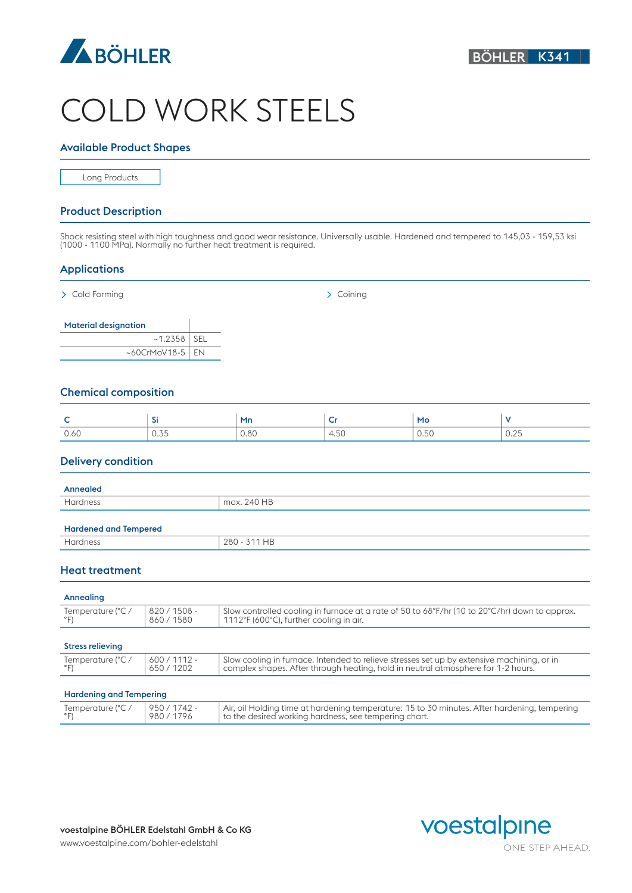

# COLD WORK STEELS

#### Available Product Shapes

Long Products

#### Product Description

Shock resisting steel with high toughness and good wear resistance. Universally usable. Hardened and tempered to 145,03 - 159,53 ksi (1000 - 1100 MPa). Normally no further heat treatment is required.

## Applications

> Cold Forming > Coining > Coining > Coining > Coining > Coining > Coining > Coining > Coining > Coining + Coining + Coining + Coining + Coining + Coining + Coining + Coining + Coining + Coining + Coining + Coining + Coini

| <b>Material designation</b> |  |
|-----------------------------|--|
| $~1.2358$ SEL               |  |
| ~60CrMoV18-5 $\vert$ EN     |  |

# Chemical composition

| -    |                 | Mn   | ÷    | Mc<br>__       |                       |
|------|-----------------|------|------|----------------|-----------------------|
| 0.60 | $\cup$ . $\cup$ | 0.80 | 4.50 | $\sim$<br>0.00 | $\cap$ $\cap$<br>U.ZD |

## Delivery condition

| max. 240 HB  |
|--------------|
|              |
|              |
| 280 - 311 HB |
|              |

## Heat treatment

## Annealing

| Temperature (°C /   820 / 1508 -<br>Slow controlled cooling in furnace at a rate of 50 to 68°F/hr (10 to 20°C/hr) down to approx.<br>$^{\circ}$<br>860/1580<br>  1112°F (600°C), further cooling in air. |
|----------------------------------------------------------------------------------------------------------------------------------------------------------------------------------------------------------|

#### Stress relieving

| ___________                                                                                                                                                                                                                    |
|--------------------------------------------------------------------------------------------------------------------------------------------------------------------------------------------------------------------------------|
| 600/1112<br>Temperature (°C<br>Slow cooling in furnace. Intended to relieve stresses set up by extensive machining, or in<br>/1202<br>complex shapes. After through heating, hold in neutral atmosphere for 1-2 hours.<br>650/ |

#### Hardening and Tempering

| 950 / 1742 -<br>Air, oil Holding time at hardening temperature: 15 to 30 minutes. After hardening, tempering<br>980/1796<br>to the desired working hardness, see tempering chart. |  |  | Temperature (°C / |
|-----------------------------------------------------------------------------------------------------------------------------------------------------------------------------------|--|--|-------------------|